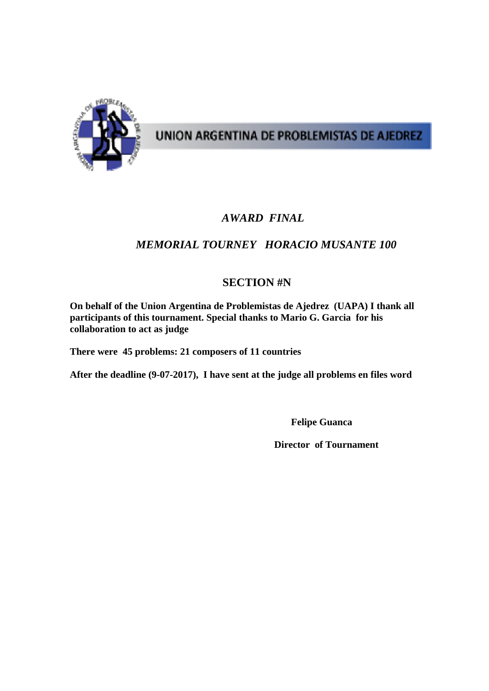

# UNION ARGENTINA DE PROBLEMISTAS DE AJEDREZ

## *AWARD FINAL*

## *MEMORIAL TOURNEY HORACIO MUSANTE 100*

## **SECTION #N**

**On behalf of the Union Argentina de Problemistas de Ajedrez (UAPA) I thank all participants of this tournament. Special thanks to Mario G. Garcia for his collaboration to act as judge** 

**There were 45 problems: 21 composers of 11 countries** 

**After the deadline (9-07-2017), I have sent at the judge all problems en files word** 

 **Felipe Guanca** 

 **Director of Tournament**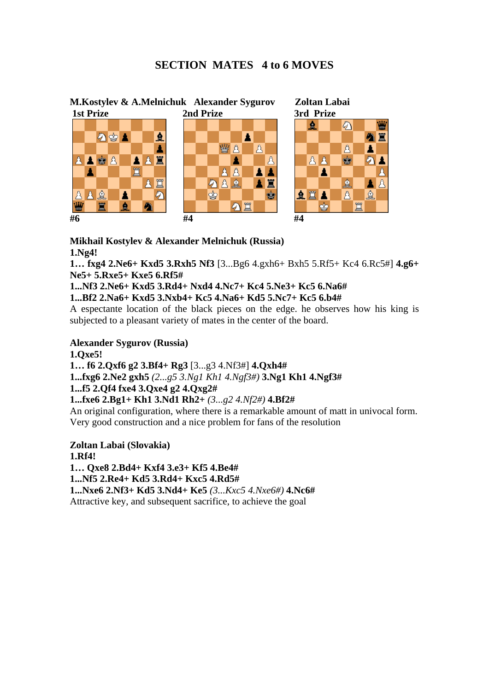### **SECTION MATES 4 to 6 MOVES**



#### **Mikhail Kostylev & Alexander Melnichuk (Russia) 1.Ng4!**

**1… fxg4 2.Ne6+ Kxd5 3.Rxh5 Nf3** [3...Bg6 4.gxh6+ Bxh5 5.Rf5+ Kc4 6.Rc5#] **4.g6+ Ne5+ 5.Rxe5+ Kxe5 6.Rf5#** 

**1...Nf3 2.Ne6+ Kxd5 3.Rd4+ Nxd4 4.Nc7+ Kc4 5.Ne3+ Kc5 6.Na6#** 

**1...Bf2 2.Na6+ Kxd5 3.Nxb4+ Kc5 4.Na6+ Kd5 5.Nc7+ Kc5 6.b4#** 

A espectante location of the black pieces on the edge. he observes how his king is subjected to a pleasant variety of mates in the center of the board.

#### **Alexander Sygurov (Russia)**

**1.Qxe5!** 

**1… f6 2.Qxf6 g2 3.Bf4+ Rg3** [3...g3 4.Nf3#] **4.Qxh4#** 

**1...fxg6 2.Ne2 gxh5** *(2...g5 3.Ng1 Kh1 4.Ngf3#)* **3.Ng1 Kh1 4.Ngf3#** 

**1...f5 2.Qf4 fxe4 3.Qxe4 g2 4.Qxg2#** 

#### **1...fxe6 2.Bg1+ Kh1 3.Nd1 Rh2+** *(3...g2 4.Nf2#)* **4.Bf2#**

An original configuration, where there is a remarkable amount of matt in univocal form. Very good construction and a nice problem for fans of the resolution

**Zoltan Labai (Slovakia) 1.Rf4! 1… Qxe8 2.Bd4+ Kxf4 3.e3+ Kf5 4.Be4# 1...Nf5 2.Re4+ Kd5 3.Rd4+ Kxc5 4.Rd5# 1...Nxe6 2.Nf3+ Kd5 3.Nd4+ Ke5** *(3...Kxc5 4.Nxe6#)* **4.Nc6#** 

Attractive key, and subsequent sacrifice, to achieve the goal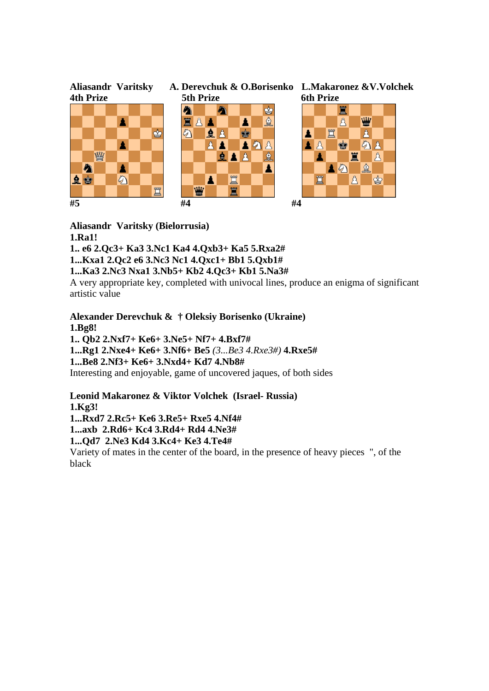

#### **Aliasandr Varitsky (Bielorrusia)**

**1.Ra1!** 

**1.. e6 2.Qc3+ Ka3 3.Nc1 Ka4 4.Qxb3+ Ka5 5.Rxa2#** 

**1...Kxa1 2.Qc2 e6 3.Nc3 Nc1 4.Qxc1+ Bb1 5.Qxb1#** 

**1...Ka3 2.Nc3 Nxa1 3.Nb5+ Kb2 4.Qc3+ Kb1 5.Na3#** 

A very appropriate key, completed with univocal lines, produce an enigma of significant artistic value

**Alexander Derevchuk & † Oleksiy Borisenko (Ukraine) 1.Bg8! 1.. Qb2 2.Nxf7+ Ke6+ 3.Ne5+ Nf7+ 4.Bxf7# 1...Rg1 2.Nxe4+ Ke6+ 3.Nf6+ Be5** *(3...Be3 4.Rxe3#)* **4.Rxe5# 1...Be8 2.Nf3+ Ke6+ 3.Nxd4+ Kd7 4.Nb8#**  Interesting and enjoyable, game of uncovered jaques, of both sides

**Leonid Makaronez & Viktor Volchek (Israel- Russia) 1.Kg3! 1...Rxd7 2.Rc5+ Ke6 3.Re5+ Rxe5 4.Nf4#** 

**1...axb 2.Rd6+ Kc4 3.Rd4+ Rd4 4.Ne3#** 

**1...Qd7 2.Ne3 Kd4 3.Kc4+ Ke3 4.Te4#** 

Variety of mates in the center of the board, in the presence of heavy pieces ", of the black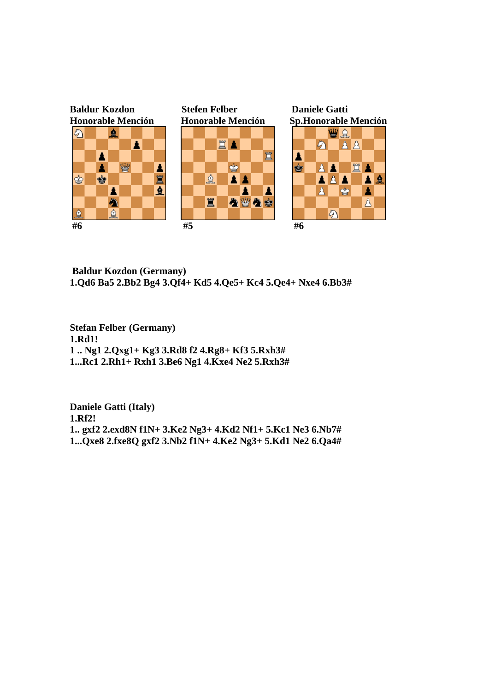

 **Baldur Kozdon (Germany) 1.Qd6 Ba5 2.Bb2 Bg4 3.Qf4+ Kd5 4.Qe5+ Kc4 5.Qe4+ Nxe4 6.Bb3#** 

**Stefan Felber (Germany) 1.Rd1! 1 .. Ng1 2.Qxg1+ Kg3 3.Rd8 f2 4.Rg8+ Kf3 5.Rxh3# 1...Rc1 2.Rh1+ Rxh1 3.Be6 Ng1 4.Kxe4 Ne2 5.Rxh3#** 

**Daniele Gatti (Italy) 1.Rf2! 1.. gxf2 2.exd8N f1N+ 3.Ke2 Ng3+ 4.Kd2 Nf1+ 5.Kc1 Ne3 6.Nb7# 1...Qxe8 2.fxe8Q gxf2 3.Nb2 f1N+ 4.Ke2 Ng3+ 5.Kd1 Ne2 6.Qa4#**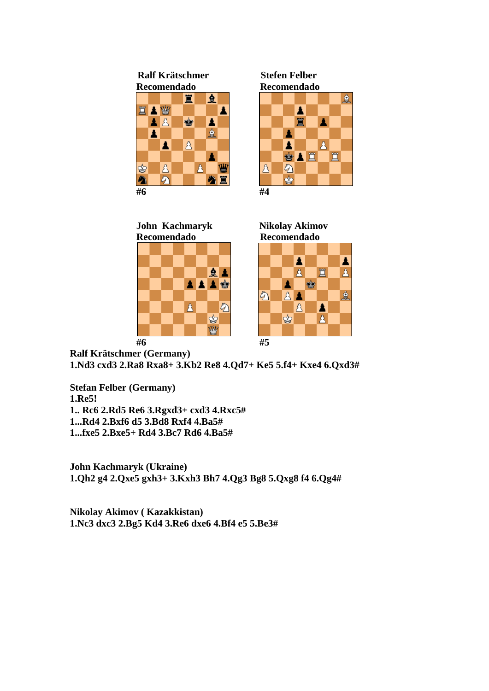**Ralf Krätschmer Stefen Felber** 



 **Recomendado Recomendado** 







**Ralf Krätschmer (Germany) 1.Nd3 cxd3 2.Ra8 Rxa8+ 3.Kb2 Re8 4.Qd7+ Ke5 5.f4+ Kxe4 6.Qxd3#** 

**Stefan Felber (Germany) 1.Re5! 1.. Rc6 2.Rd5 Re6 3.Rgxd3+ cxd3 4.Rxc5# 1...Rd4 2.Bxf6 d5 3.Bd8 Rxf4 4.Ba5# 1...fxe5 2.Bxe5+ Rd4 3.Bc7 Rd6 4.Ba5#** 

**John Kachmaryk (Ukraine) 1.Qh2 g4 2.Qxe5 gxh3+ 3.Kxh3 Bh7 4.Qg3 Bg8 5.Qxg8 f4 6.Qg4#** 

**Nikolay Akimov ( Kazakkistan) 1.Nc3 dxc3 2.Bg5 Kd4 3.Re6 dxe6 4.Bf4 e5 5.Be3#**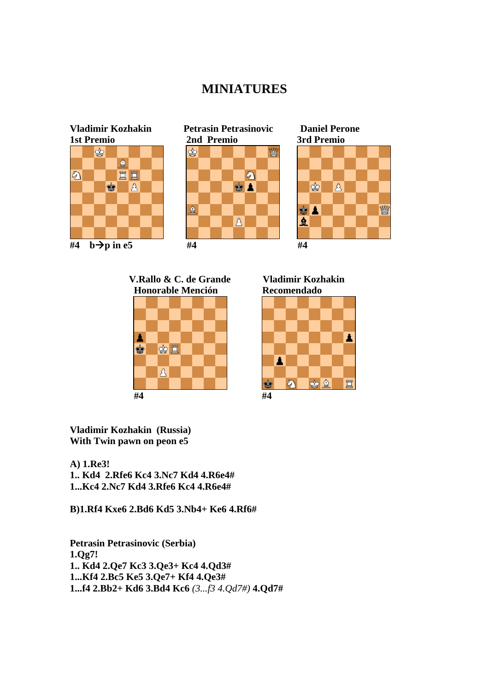## **MINIATURES**



 **V.Rallo & C. de Grande Vladimir Kozhakin Honorable Mención Recomendado** 





**Vladimir Kozhakin (Russia) With Twin pawn on peon e5** 

**A) 1.Re3! 1.. Kd4 2.Rfe6 Kc4 3.Nc7 Kd4 4.R6e4# 1...Kc4 2.Nc7 Kd4 3.Rfe6 Kc4 4.R6e4#** 

**B)1.Rf4 Kxe6 2.Bd6 Kd5 3.Nb4+ Ke6 4.Rf6#** 

**Petrasin Petrasinovic (Serbia) 1.Qg7! 1.. Kd4 2.Qe7 Kc3 3.Qe3+ Kc4 4.Qd3# 1...Kf4 2.Bc5 Ke5 3.Qe7+ Kf4 4.Qe3# 1...f4 2.Bb2+ Kd6 3.Bd4 Kc6** *(3...f3 4.Qd7#)* **4.Qd7#**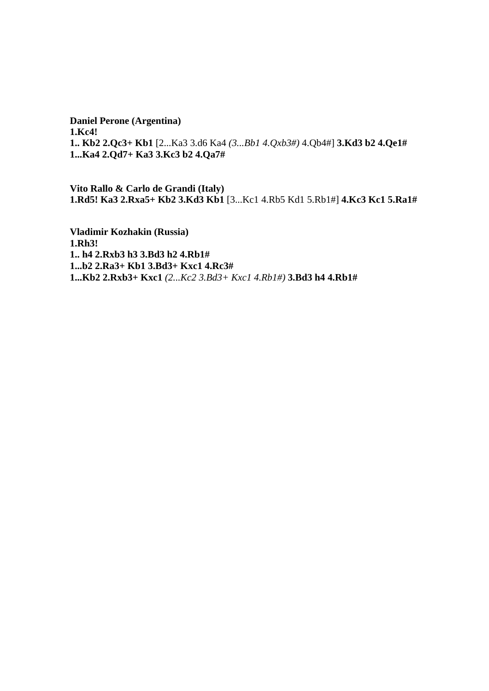**Daniel Perone (Argentina) 1.Kc4! 1.. Kb2 2.Qc3+ Kb1** [2...Ka3 3.d6 Ka4 *(3...Bb1 4.Qxb3#)* 4.Qb4#] **3.Kd3 b2 4.Qe1# 1...Ka4 2.Qd7+ Ka3 3.Kc3 b2 4.Qa7#** 

**Vito Rallo & Carlo de Grandi (Italy) 1.Rd5! Ka3 2.Rxa5+ Kb2 3.Kd3 Kb1** [3...Kc1 4.Rb5 Kd1 5.Rb1#] **4.Kc3 Kc1 5.Ra1#** 

**Vladimir Kozhakin (Russia) 1.Rh3! 1.. h4 2.Rxb3 h3 3.Bd3 h2 4.Rb1# 1...b2 2.Ra3+ Kb1 3.Bd3+ Kxc1 4.Rc3# 1...Kb2 2.Rxb3+ Kxc1** *(2...Kc2 3.Bd3+ Kxc1 4.Rb1#)* **3.Bd3 h4 4.Rb1#**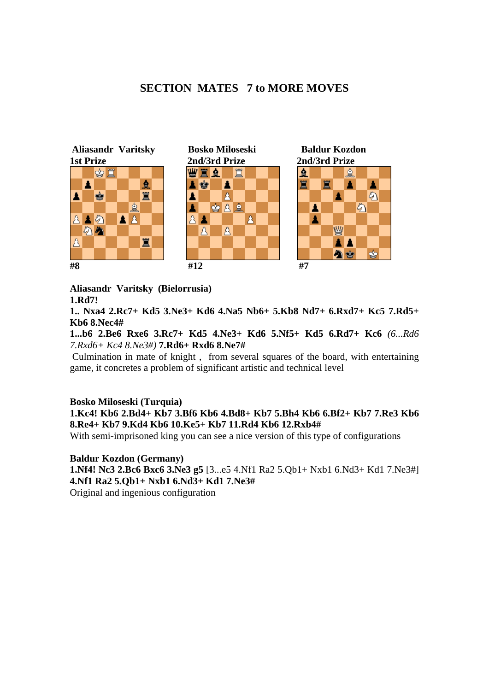#### **SECTION MATES 7 to MORE MOVES**



**Aliasandr Varitsky (Bielorrusia) 1.Rd7!** 

**1.. Nxa4 2.Rc7+ Kd5 3.Ne3+ Kd6 4.Na5 Nb6+ 5.Kb8 Nd7+ 6.Rxd7+ Kc5 7.Rd5+ Kb6 8.Nec4#** 

**1...b6 2.Be6 Rxe6 3.Rc7+ Kd5 4.Ne3+ Kd6 5.Nf5+ Kd5 6.Rd7+ Kc6** *(6...Rd6 7.Rxd6+ Kc4 8.Ne3#)* **7.Rd6+ Rxd6 8.Ne7#** 

 Culmination in mate of knight , from several squares of the board, with entertaining game, it concretes a problem of significant artistic and technical level

#### **Bosko Miloseski (Turquia)**

**1.Kc4! Kb6 2.Bd4+ Kb7 3.Bf6 Kb6 4.Bd8+ Kb7 5.Bh4 Kb6 6.Bf2+ Kb7 7.Re3 Kb6 8.Re4+ Kb7 9.Kd4 Kb6 10.Ke5+ Kb7 11.Rd4 Kb6 12.Rxb4#** 

With semi-imprisoned king you can see a nice version of this type of configurations

**Baldur Kozdon (Germany) 1.Nf4! Nc3 2.Bc6 Bxc6 3.Ne3 g5** [3...e5 4.Nf1 Ra2 5.Qb1+ Nxb1 6.Nd3+ Kd1 7.Ne3#] **4.Nf1 Ra2 5.Qb1+ Nxb1 6.Nd3+ Kd1 7.Ne3#**  Original and ingenious configuration